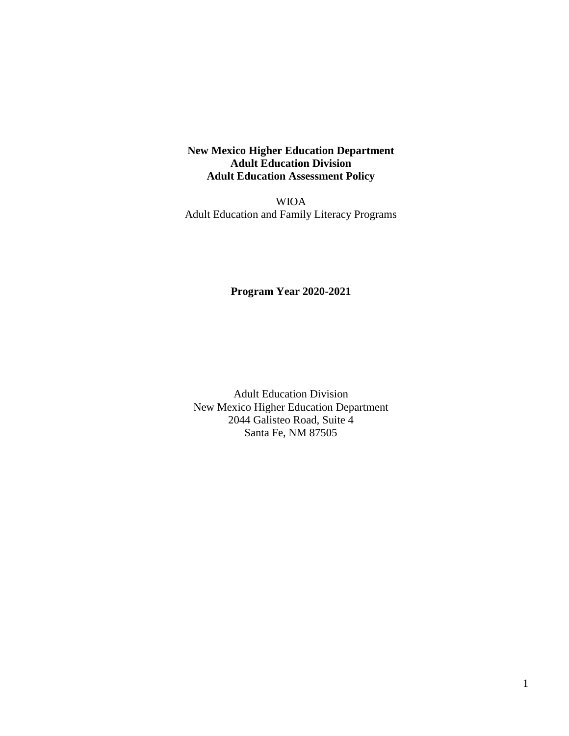# **New Mexico Higher Education Department Adult Education Division Adult Education Assessment Policy**

WIOA Adult Education and Family Literacy Programs

# **Program Year 2020-2021**

Adult Education Division New Mexico Higher Education Department 2044 Galisteo Road, Suite 4 Santa Fe, NM 87505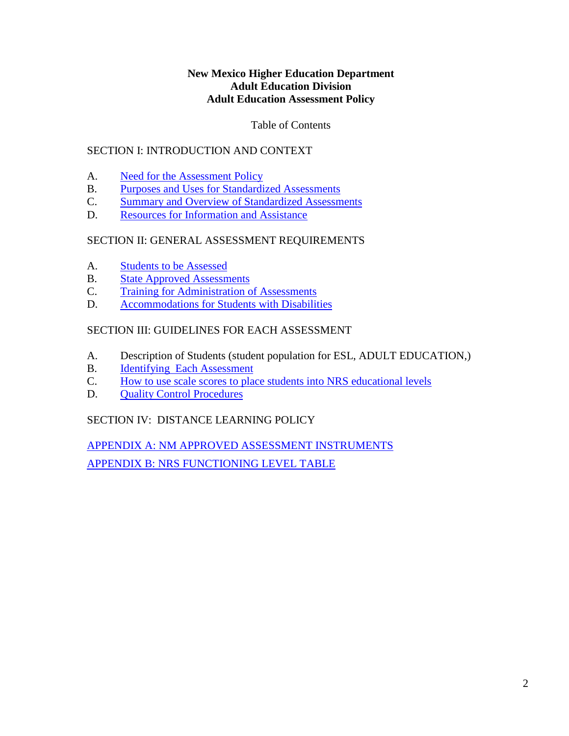## **New Mexico Higher Education Department Adult Education Division Adult Education Assessment Policy**

# Table of Contents

# SECTION I: INTRODUCTION AND CONTEXT

- A. [Need for the Assessment Policy](#page-2-0)
- B. [Purposes and Uses for Standardized Assessments](#page-3-0)
- C. [Summary and Overview of Standardized Assessments](#page-3-1)
- D. [Resources for Information and Assistance](#page-3-2)

# SECTION II: GENERAL ASSESSMENT REQUIREMENTS

- A. [Students to be Assessed](#page-5-0)
- B. [State Approved Assessments](#page-6-0)
- C. [Training for Administration of Assessments](#page-7-0)
- D. [Accommodations for Students with Disabilities](#page-8-0)

# SECTION III: GUIDELINES FOR EACH ASSESSMENT

- A. Description of Students (student population for ESL, ADULT EDUCATION,)
- B. [Identifying Each Assessment](#page-11-0)
- C. How to [use scale scores to place students into NRS educational levels](#page-12-0)
- D. [Quality Control Procedures](#page-12-1)

# SECTION IV: DISTANCE LEARNING POLICY

APPENDIX A: [NM APPROVED ASSESSMENT INSTRUMENTS](#page-15-0) APPENDIX B: [NRS FUNCTIONING LEVEL TABLE](#page-19-0)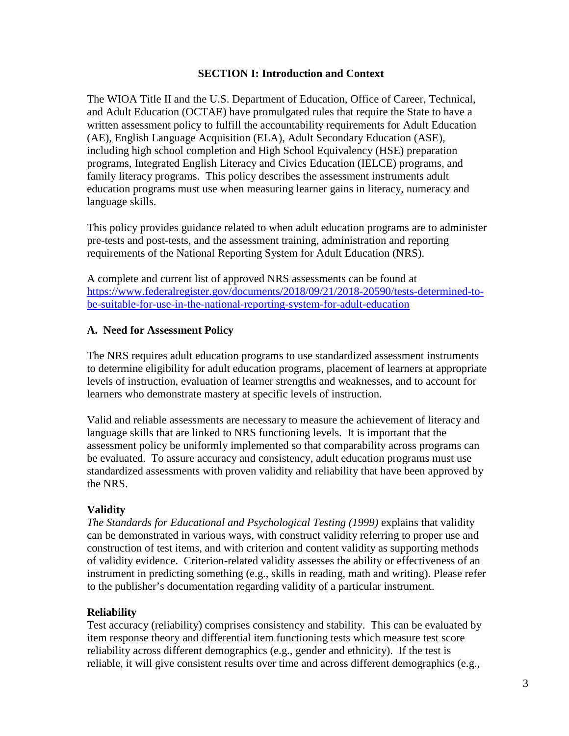### **SECTION I: Introduction and Context**

The WIOA Title II and the U.S. Department of Education, Office of Career, Technical, and Adult Education (OCTAE) have promulgated rules that require the State to have a written assessment policy to fulfill the accountability requirements for Adult Education (AE), English Language Acquisition (ELA), Adult Secondary Education (ASE), including high school completion and High School Equivalency (HSE) preparation programs, Integrated English Literacy and Civics Education (IELCE) programs, and family literacy programs. This policy describes the assessment instruments adult education programs must use when measuring learner gains in literacy, numeracy and language skills.

This policy provides guidance related to when adult education programs are to administer pre-tests and post-tests, and the assessment training, administration and reporting requirements of the National Reporting System for Adult Education (NRS).

A complete and current list of approved NRS assessments can be found at [https://www.federalregister.gov/documents/2018/09/21/2018-20590/tests-determined-to](https://www.federalregister.gov/documents/2018/09/21/2018-20590/tests-determined-to-be-suitable-for-use-in-the-national-reporting-system-for-adult-education)[be-suitable-for-use-in-the-national-reporting-system-for-adult-education](https://www.federalregister.gov/documents/2018/09/21/2018-20590/tests-determined-to-be-suitable-for-use-in-the-national-reporting-system-for-adult-education)

# <span id="page-2-0"></span>**A. Need for Assessment Policy**

The NRS requires adult education programs to use standardized assessment instruments to determine eligibility for adult education programs, placement of learners at appropriate levels of instruction, evaluation of learner strengths and weaknesses, and to account for learners who demonstrate mastery at specific levels of instruction.

Valid and reliable assessments are necessary to measure the achievement of literacy and language skills that are linked to NRS functioning levels. It is important that the assessment policy be uniformly implemented so that comparability across programs can be evaluated. To assure accuracy and consistency, adult education programs must use standardized assessments with proven validity and reliability that have been approved by the NRS.

#### **Validity**

*The Standards for Educational and Psychological Testing (1999)* explains that validity can be demonstrated in various ways, with construct validity referring to proper use and construction of test items, and with criterion and content validity as supporting methods of validity evidence. Criterion-related validity assesses the ability or effectiveness of an instrument in predicting something (e.g., skills in reading, math and writing). Please refer to the publisher's documentation regarding validity of a particular instrument.

# **Reliability**

Test accuracy (reliability) comprises consistency and stability. This can be evaluated by item response theory and differential item functioning tests which measure test score reliability across different demographics (e.g., gender and ethnicity). If the test is reliable, it will give consistent results over time and across different demographics (e.g.,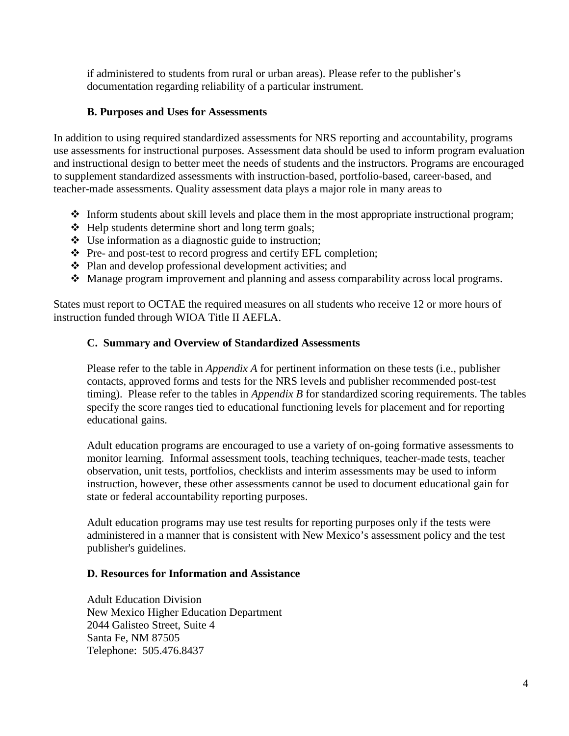if administered to students from rural or urban areas). Please refer to the publisher's documentation regarding reliability of a particular instrument.

# <span id="page-3-0"></span>**B. Purposes and Uses for Assessments**

In addition to using required standardized assessments for NRS reporting and accountability, programs use assessments for instructional purposes. Assessment data should be used to inform program evaluation and instructional design to better meet the needs of students and the instructors. Programs are encouraged to supplement standardized assessments with instruction-based, portfolio-based, career-based, and teacher-made assessments. Quality assessment data plays a major role in many areas to

- $\triangleleft$  Inform students about skill levels and place them in the most appropriate instructional program;
- $\triangleleft$  Help students determine short and long term goals;
- $\bullet$  Use information as a diagnostic guide to instruction;
- Pre- and post-test to record progress and certify EFL completion;
- $\triangle$  Plan and develop professional development activities; and
- Manage program improvement and planning and assess comparability across local programs.

States must report to OCTAE the required measures on all students who receive 12 or more hours of instruction funded through WIOA Title II AEFLA.

#### <span id="page-3-1"></span>**C. Summary and Overview of Standardized Assessments**

Please refer to the table in *Appendix A* for pertinent information on these tests (i.e., publisher contacts, approved forms and tests for the NRS levels and publisher recommended post-test timing). Please refer to the tables in *Appendix B* for standardized scoring requirements. The tables specify the score ranges tied to educational functioning levels for placement and for reporting educational gains.

Adult education programs are encouraged to use a variety of on-going formative assessments to monitor learning. Informal assessment tools, teaching techniques, teacher-made tests, teacher observation, unit tests, portfolios, checklists and interim assessments may be used to inform instruction, however, these other assessments cannot be used to document educational gain for state or federal accountability reporting purposes.

Adult education programs may use test results for reporting purposes only if the tests were administered in a manner that is consistent with New Mexico's assessment policy and the test publisher's guidelines.

#### <span id="page-3-2"></span>**D. Resources for Information and Assistance**

Adult Education Division New Mexico Higher Education Department 2044 Galisteo Street, Suite 4 Santa Fe, NM 87505 Telephone: 505.476.8437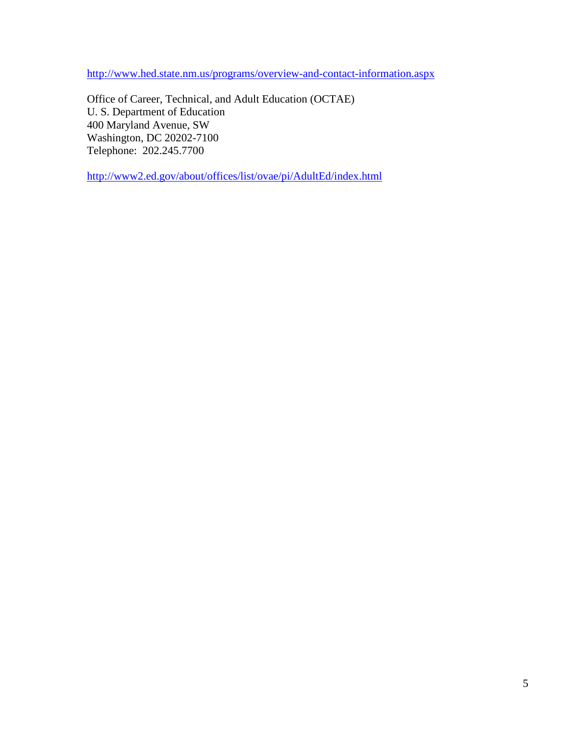<http://www.hed.state.nm.us/programs/overview-and-contact-information.aspx>

Office of Career, Technical, and Adult Education (OCTAE) U. S. Department of Education 400 Maryland Avenue, SW Washington, DC 20202-7100 Telephone: 202.245.7700

<http://www2.ed.gov/about/offices/list/ovae/pi/AdultEd/index.html>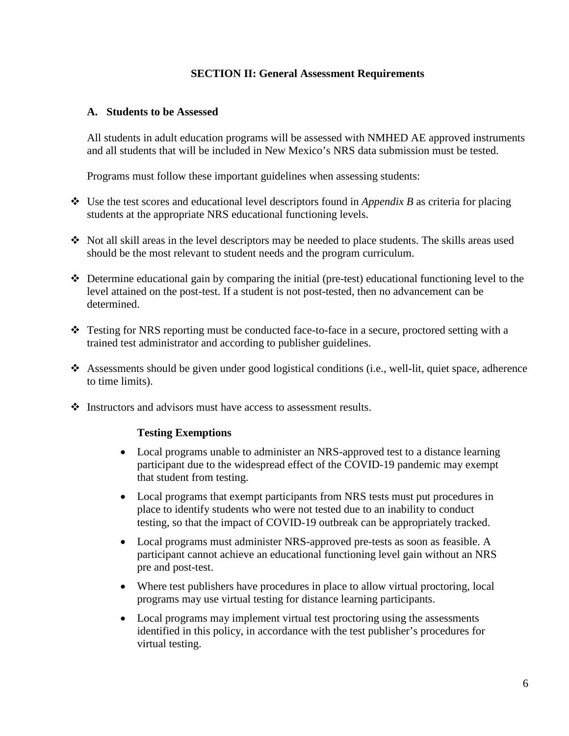# **SECTION II: General Assessment Requirements**

#### <span id="page-5-0"></span>**A. Students to be Assessed**

All students in adult education programs will be assessed with NMHED AE approved instruments and all students that will be included in New Mexico's NRS data submission must be tested.

Programs must follow these important guidelines when assessing students:

- Use the test scores and educational level descriptors found in *Appendix B* as criteria for placing students at the appropriate NRS educational functioning levels.
- Not all skill areas in the level descriptors may be needed to place students. The skills areas used should be the most relevant to student needs and the program curriculum.
- Determine educational gain by comparing the initial (pre-test) educational functioning level to the level attained on the post-test. If a student is not post-tested, then no advancement can be determined.
- $\div$  Testing for NRS reporting must be conducted face-to-face in a secure, proctored setting with a trained test administrator and according to publisher guidelines.
- Assessments should be given under good logistical conditions (i.e., well-lit, quiet space, adherence to time limits).
- Instructors and advisors must have access to assessment results.

#### **Testing Exemptions**

- Local programs unable to administer an NRS-approved test to a distance learning participant due to the widespread effect of the COVID-19 pandemic may exempt that student from testing.
- Local programs that exempt participants from NRS tests must put procedures in place to identify students who were not tested due to an inability to conduct testing, so that the impact of COVID-19 outbreak can be appropriately tracked.
- Local programs must administer NRS-approved pre-tests as soon as feasible. A participant cannot achieve an educational functioning level gain without an NRS pre and post-test.
- Where test publishers have procedures in place to allow virtual proctoring, local programs may use virtual testing for distance learning participants.
- Local programs may implement virtual test proctoring using the assessments identified in this policy, in accordance with the test publisher's procedures for virtual testing.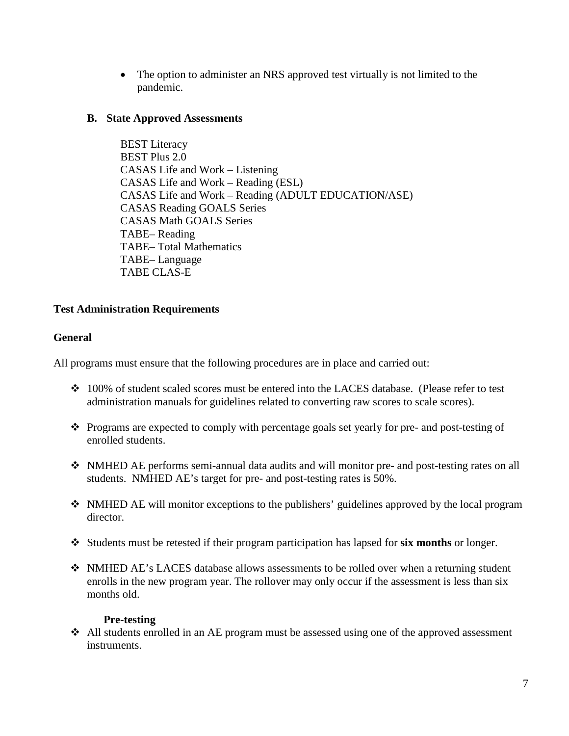• The option to administer an NRS approved test virtually is not limited to the pandemic.

# <span id="page-6-0"></span>**B. State Approved Assessments**

BEST Literacy BEST Plus 2.0 CASAS Life and Work – Listening CASAS Life and Work – Reading (ESL) CASAS Life and Work – Reading (ADULT EDUCATION/ASE) CASAS Reading GOALS Series CASAS Math GOALS Series TABE– Reading TABE– Total Mathematics TABE– Language TABE CLAS-E

# **Test Administration Requirements**

# **General**

All programs must ensure that the following procedures are in place and carried out:

- 100% of student scaled scores must be entered into the LACES database. (Please refer to test administration manuals for guidelines related to converting raw scores to scale scores).
- Programs are expected to comply with percentage goals set yearly for pre- and post-testing of enrolled students.
- NMHED AE performs semi-annual data audits and will monitor pre- and post-testing rates on all students. NMHED AE's target for pre- and post-testing rates is 50%.
- NMHED AE will monitor exceptions to the publishers' guidelines approved by the local program director.
- Students must be retested if their program participation has lapsed for **six months** or longer.
- NMHED AE's LACES database allows assessments to be rolled over when a returning student enrolls in the new program year. The rollover may only occur if the assessment is less than six months old.

# **Pre-testing**

 All students enrolled in an AE program must be assessed using one of the approved assessment instruments.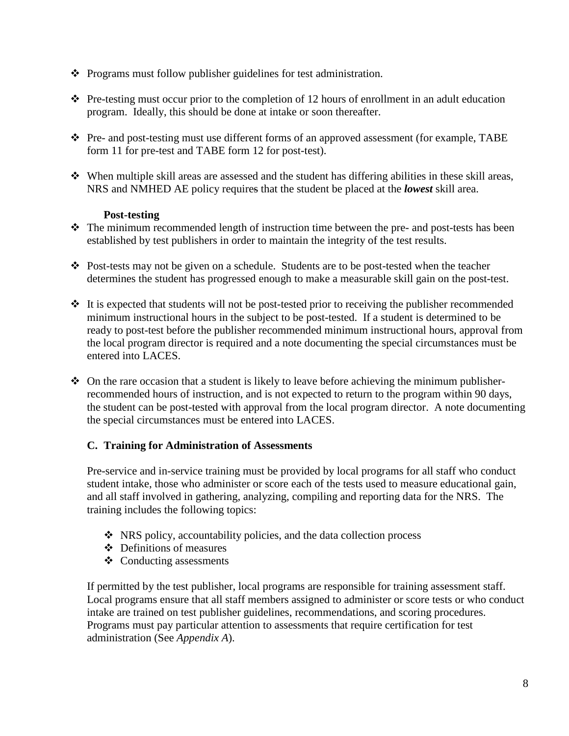- Programs must follow publisher guidelines for test administration.
- $\hat{\cdot}$  Pre-testing must occur prior to the completion of 12 hours of enrollment in an adult education program. Ideally, this should be done at intake or soon thereafter.
- Pre- and post-testing must use different forms of an approved assessment (for example, TABE form 11 for pre-test and TABE form 12 for post-test).
- $\div$  When multiple skill areas are assessed and the student has differing abilities in these skill areas, NRS and NMHED AE policy requires that the student be placed at the *lowest* skill area.

# **Post-testing**

- $\div$  The minimum recommended length of instruction time between the pre- and post-tests has been established by test publishers in order to maintain the integrity of the test results.
- Post-tests may not be given on a schedule. Students are to be post-tested when the teacher determines the student has progressed enough to make a measurable skill gain on the post-test.
- $\cdot$  It is expected that students will not be post-tested prior to receiving the publisher recommended minimum instructional hours in the subject to be post-tested. If a student is determined to be ready to post-test before the publisher recommended minimum instructional hours, approval from the local program director is required and a note documenting the special circumstances must be entered into LACES.
- $\triangle$  On the rare occasion that a student is likely to leave before achieving the minimum publisherrecommended hours of instruction, and is not expected to return to the program within 90 days, the student can be post-tested with approval from the local program director. A note documenting the special circumstances must be entered into LACES.

# <span id="page-7-0"></span>**C. Training for Administration of Assessments**

Pre-service and in-service training must be provided by local programs for all staff who conduct student intake, those who administer or score each of the tests used to measure educational gain, and all staff involved in gathering, analyzing, compiling and reporting data for the NRS. The training includes the following topics:

- $\cdot$  NRS policy, accountability policies, and the data collection process
- Definitions of measures
- $\triangleleft$  Conducting assessments

If permitted by the test publisher, local programs are responsible for training assessment staff. Local programs ensure that all staff members assigned to administer or score tests or who conduct intake are trained on test publisher guidelines, recommendations, and scoring procedures. Programs must pay particular attention to assessments that require certification for test administration (See *Appendix A*).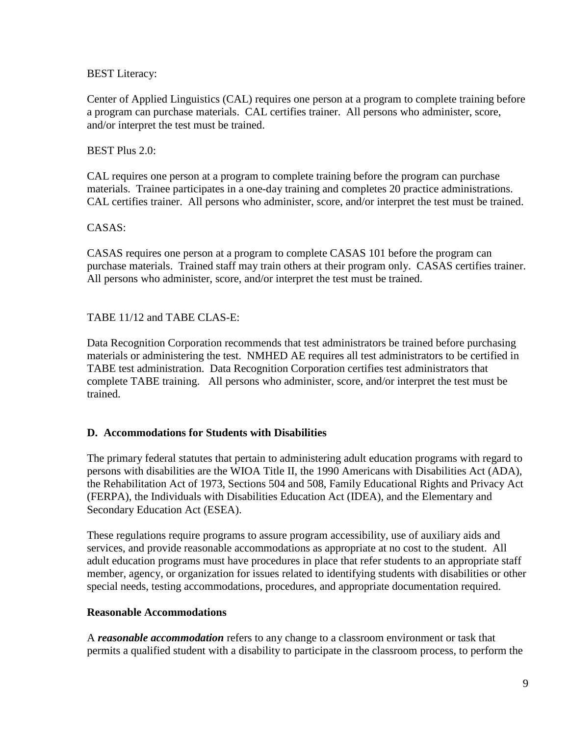## BEST Literacy:

Center of Applied Linguistics (CAL) requires one person at a program to complete training before a program can purchase materials. CAL certifies trainer. All persons who administer, score, and/or interpret the test must be trained.

## BEST Plus 2.0:

CAL requires one person at a program to complete training before the program can purchase materials. Trainee participates in a one-day training and completes 20 practice administrations. CAL certifies trainer. All persons who administer, score, and/or interpret the test must be trained.

### CASAS:

CASAS requires one person at a program to complete CASAS 101 before the program can purchase materials. Trained staff may train others at their program only. CASAS certifies trainer. All persons who administer, score, and/or interpret the test must be trained.

TABE 11/12 and TABE CLAS-E:

Data Recognition Corporation recommends that test administrators be trained before purchasing materials or administering the test. NMHED AE requires all test administrators to be certified in TABE test administration. Data Recognition Corporation certifies test administrators that complete TABE training. All persons who administer, score, and/or interpret the test must be trained.

#### <span id="page-8-0"></span>**D. Accommodations for Students with Disabilities**

The primary federal statutes that pertain to administering adult education programs with regard to persons with disabilities are the WIOA Title II, the 1990 Americans with Disabilities Act (ADA), the Rehabilitation Act of 1973, Sections 504 and 508, Family Educational Rights and Privacy Act (FERPA), the Individuals with Disabilities Education Act (IDEA), and the Elementary and Secondary Education Act (ESEA).

These regulations require programs to assure program accessibility, use of auxiliary aids and services, and provide reasonable accommodations as appropriate at no cost to the student. All adult education programs must have procedures in place that refer students to an appropriate staff member, agency, or organization for issues related to identifying students with disabilities or other special needs, testing accommodations, procedures, and appropriate documentation required.

#### **Reasonable Accommodations**

A *reasonable accommodation* refers to any change to a classroom environment or task that permits a qualified student with a disability to participate in the classroom process, to perform the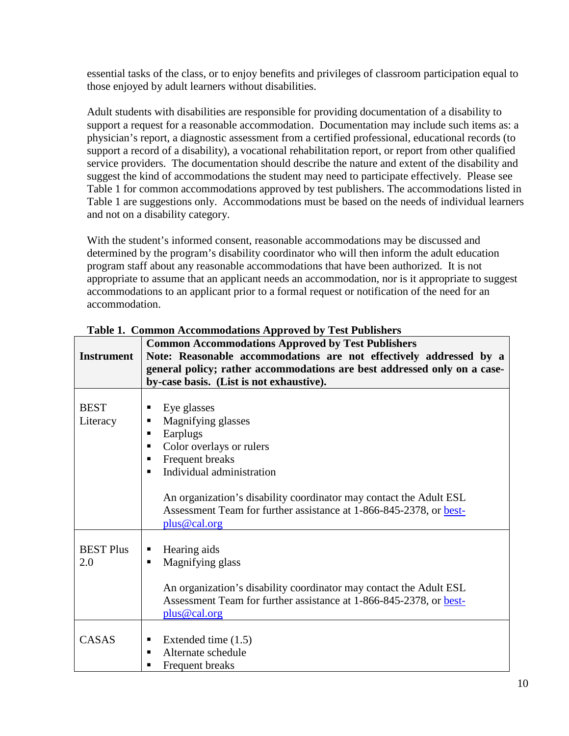essential tasks of the class, or to enjoy benefits and privileges of classroom participation equal to those enjoyed by adult learners without disabilities.

Adult students with disabilities are responsible for providing documentation of a disability to support a request for a reasonable accommodation. Documentation may include such items as: a physician's report, a diagnostic assessment from a certified professional, educational records (to support a record of a disability), a vocational rehabilitation report, or report from other qualified service providers. The documentation should describe the nature and extent of the disability and suggest the kind of accommodations the student may need to participate effectively. Please see Table 1 for common accommodations approved by test publishers. The accommodations listed in Table 1 are suggestions only. Accommodations must be based on the needs of individual learners and not on a disability category.

With the student's informed consent, reasonable accommodations may be discussed and determined by the program's disability coordinator who will then inform the adult education program staff about any reasonable accommodations that have been authorized. It is not appropriate to assume that an applicant needs an accommodation, nor is it appropriate to suggest accommodations to an applicant prior to a formal request or notification of the need for an accommodation.

| <b>Instrument</b>       | <b>Common Accommodations Approved by Test Publishers</b><br>Note: Reasonable accommodations are not effectively addressed by a<br>general policy; rather accommodations are best addressed only on a case-<br>by-case basis. (List is not exhaustive).                     |
|-------------------------|----------------------------------------------------------------------------------------------------------------------------------------------------------------------------------------------------------------------------------------------------------------------------|
| <b>BEST</b><br>Literacy | Eye glasses<br>Magnifying glasses<br>Earplugs<br>Color overlays or rulers<br>Frequent breaks<br>Individual administration<br>٠<br>An organization's disability coordinator may contact the Adult ESL<br>Assessment Team for further assistance at 1-866-845-2378, or best- |
|                         | plus@cal.org                                                                                                                                                                                                                                                               |
| <b>BEST Plus</b><br>2.0 | Hearing aids<br>Magnifying glass<br>An organization's disability coordinator may contact the Adult ESL<br>Assessment Team for further assistance at 1-866-845-2378, or best-<br>plus@cal.org                                                                               |
| CASAS                   | Extended time $(1.5)$<br>п<br>Alternate schedule<br>Frequent breaks                                                                                                                                                                                                        |

### **Table 1. Common Accommodations Approved by Test Publishers**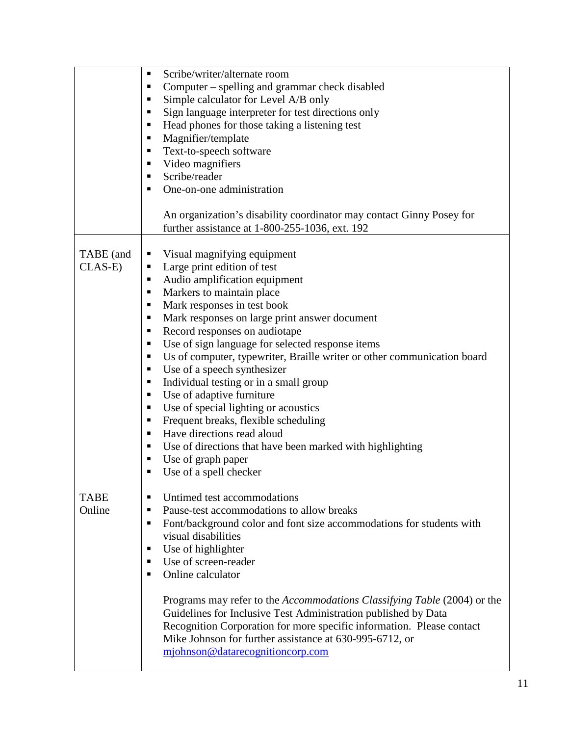|                        | Scribe/writer/alternate room<br>п<br>Computer – spelling and grammar check disabled<br>п<br>Simple calculator for Level A/B only<br>п<br>Sign language interpreter for test directions only<br>Head phones for those taking a listening test<br>п<br>Magnifier/template<br>Text-to-speech software<br>Video magnifiers                                                                                                                                                                                                                                                                                                                                                                                                                                                                    |
|------------------------|-------------------------------------------------------------------------------------------------------------------------------------------------------------------------------------------------------------------------------------------------------------------------------------------------------------------------------------------------------------------------------------------------------------------------------------------------------------------------------------------------------------------------------------------------------------------------------------------------------------------------------------------------------------------------------------------------------------------------------------------------------------------------------------------|
|                        | Scribe/reader<br>One-on-one administration<br>п                                                                                                                                                                                                                                                                                                                                                                                                                                                                                                                                                                                                                                                                                                                                           |
|                        | An organization's disability coordinator may contact Ginny Posey for<br>further assistance at 1-800-255-1036, ext. 192                                                                                                                                                                                                                                                                                                                                                                                                                                                                                                                                                                                                                                                                    |
| TABE (and<br>$CLAS-E)$ | Visual magnifying equipment<br>Large print edition of test<br>п<br>Audio amplification equipment<br>п<br>Markers to maintain place<br>п<br>Mark responses in test book<br>п<br>Mark responses on large print answer document<br>п<br>Record responses on audiotape<br>п<br>Use of sign language for selected response items<br>п<br>Us of computer, typewriter, Braille writer or other communication board<br>٠<br>Use of a speech synthesizer<br>п<br>Individual testing or in a small group<br>п<br>Use of adaptive furniture<br>٠<br>Use of special lighting or acoustics<br>Frequent breaks, flexible scheduling<br>п<br>Have directions read aloud<br>п<br>Use of directions that have been marked with highlighting<br>п<br>Use of graph paper<br>п<br>Use of a spell checker<br>п |
| <b>TABE</b><br>Online  | Untimed test accommodations<br>п<br>Pause-test accommodations to allow breaks<br>п<br>Font/background color and font size accommodations for students with<br>٠<br>visual disabilities<br>Use of highlighter<br>п<br>Use of screen-reader<br>п<br>Online calculator<br>п<br>Programs may refer to the <i>Accommodations Classifying Table</i> (2004) or the<br>Guidelines for Inclusive Test Administration published by Data<br>Recognition Corporation for more specific information. Please contact<br>Mike Johnson for further assistance at 630-995-6712, or<br>mjohnson@datarecognitioncorp.com                                                                                                                                                                                     |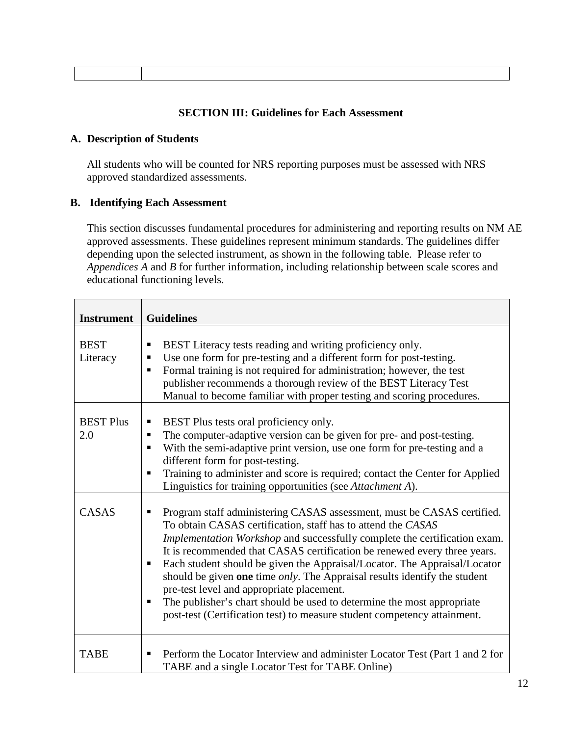## **SECTION III: Guidelines for Each Assessment**

## **A. Description of Students**

All students who will be counted for NRS reporting purposes must be assessed with NRS approved standardized assessments.

# <span id="page-11-0"></span>**B. Identifying Each Assessment**

This section discusses fundamental procedures for administering and reporting results on NM AE approved assessments. These guidelines represent minimum standards. The guidelines differ depending upon the selected instrument, as shown in the following table. Please refer to *Appendices A* and *B* for further information, including relationship between scale scores and educational functioning levels.

| <b>Instrument</b>                | <b>Guidelines</b>                                                                                                                                                                                                                                                                                                                                                                                                                                                                                                                                |
|----------------------------------|--------------------------------------------------------------------------------------------------------------------------------------------------------------------------------------------------------------------------------------------------------------------------------------------------------------------------------------------------------------------------------------------------------------------------------------------------------------------------------------------------------------------------------------------------|
| <b>BEST</b><br>Literacy          | BEST Literacy tests reading and writing proficiency only.<br>П<br>Use one form for pre-testing and a different form for post-testing.<br>п<br>Formal training is not required for administration; however, the test<br>п<br>publisher recommends a thorough review of the BEST Literacy Test<br>Manual to become familiar with proper testing and scoring procedures.                                                                                                                                                                            |
| <b>BEST Plus</b><br>2.0<br>CASAS | BEST Plus tests oral proficiency only.<br>П<br>The computer-adaptive version can be given for pre- and post-testing.<br>п<br>With the semi-adaptive print version, use one form for pre-testing and a<br>٠<br>different form for post-testing.<br>Training to administer and score is required; contact the Center for Applied<br>п<br>Linguistics for training opportunities (see Attachment A).<br>Program staff administering CASAS assessment, must be CASAS certified.<br>п<br>To obtain CASAS certification, staff has to attend the CASAS |
|                                  | Implementation Workshop and successfully complete the certification exam.<br>It is recommended that CASAS certification be renewed every three years.<br>Each student should be given the Appraisal/Locator. The Appraisal/Locator<br>п<br>should be given one time <i>only</i> . The Appraisal results identify the student<br>pre-test level and appropriate placement.<br>The publisher's chart should be used to determine the most appropriate<br>п<br>post-test (Certification test) to measure student competency attainment.             |
| <b>TABE</b>                      | Perform the Locator Interview and administer Locator Test (Part 1 and 2 for<br>п<br>TABE and a single Locator Test for TABE Online)                                                                                                                                                                                                                                                                                                                                                                                                              |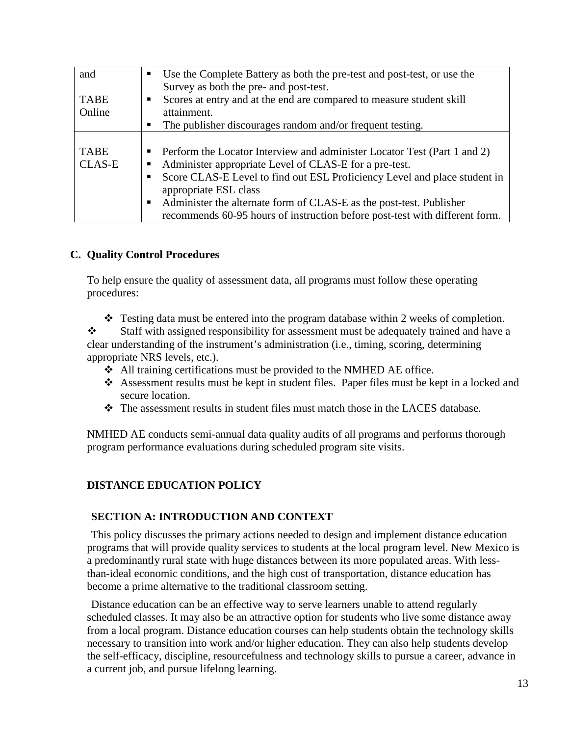| and                          | Use the Complete Battery as both the pre-test and post-test, or use the<br>Survey as both the pre- and post-test.                                                                                                                        |
|------------------------------|------------------------------------------------------------------------------------------------------------------------------------------------------------------------------------------------------------------------------------------|
| <b>TABE</b><br>Online        | Scores at entry and at the end are compared to measure student skill<br>attainment.                                                                                                                                                      |
|                              | The publisher discourages random and/or frequent testing.                                                                                                                                                                                |
| <b>TABE</b><br><b>CLAS-E</b> | Perform the Locator Interview and administer Locator Test (Part 1 and 2)<br>Administer appropriate Level of CLAS-E for a pre-test.<br>Score CLAS-E Level to find out ESL Proficiency Level and place student in<br>appropriate ESL class |
|                              | Administer the alternate form of CLAS-E as the post-test. Publisher<br>recommends 60-95 hours of instruction before post-test with different form.                                                                                       |

# <span id="page-12-1"></span><span id="page-12-0"></span>**C. Quality Control Procedures**

To help ensure the quality of assessment data, all programs must follow these operating procedures:

 $\div$  Testing data must be entered into the program database within 2 weeks of completion.

Staff with assigned responsibility for assessment must be adequately trained and have a clear understanding of the instrument's administration (i.e., timing, scoring, determining appropriate NRS levels, etc.).

- All training certifications must be provided to the NMHED AE office.
- Assessment results must be kept in student files. Paper files must be kept in a locked and secure location.
- $\div$  The assessment results in student files must match those in the LACES database.

NMHED AE conducts semi-annual data quality audits of all programs and performs thorough program performance evaluations during scheduled program site visits.

# **DISTANCE EDUCATION POLICY**

#### **SECTION A: INTRODUCTION AND CONTEXT**

This policy discusses the primary actions needed to design and implement distance education programs that will provide quality services to students at the local program level. New Mexico is a predominantly rural state with huge distances between its more populated areas. With lessthan-ideal economic conditions, and the high cost of transportation, distance education has become a prime alternative to the traditional classroom setting.

Distance education can be an effective way to serve learners unable to attend regularly scheduled classes. It may also be an attractive option for students who live some distance away from a local program. Distance education courses can help students obtain the technology skills necessary to transition into work and/or higher education. They can also help students develop the self-efficacy, discipline, resourcefulness and technology skills to pursue a career, advance in a current job, and pursue lifelong learning.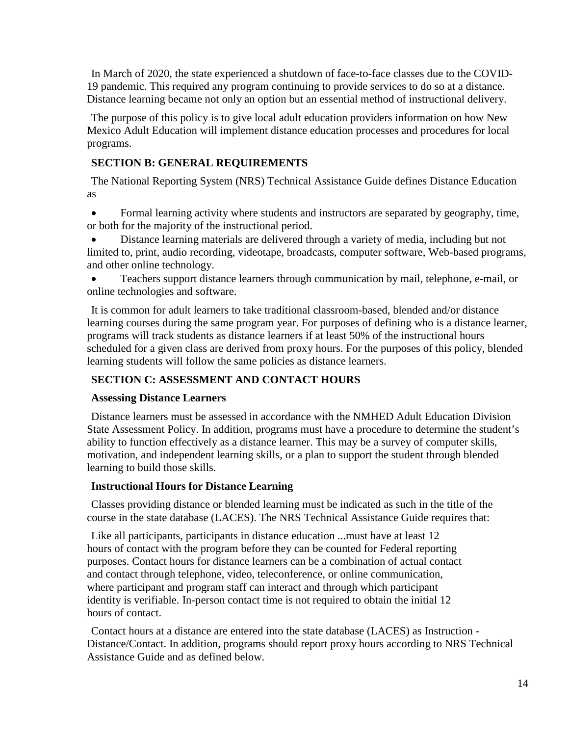In March of 2020, the state experienced a shutdown of face-to-face classes due to the COVID-19 pandemic. This required any program continuing to provide services to do so at a distance. Distance learning became not only an option but an essential method of instructional delivery.

The purpose of this policy is to give local adult education providers information on how New Mexico Adult Education will implement distance education processes and procedures for local programs.

# **SECTION B: GENERAL REQUIREMENTS**

The National Reporting System (NRS) Technical Assistance Guide defines Distance Education as

• Formal learning activity where students and instructors are separated by geography, time, or both for the majority of the instructional period.

• Distance learning materials are delivered through a variety of media, including but not limited to, print, audio recording, videotape, broadcasts, computer software, Web-based programs, and other online technology.

• Teachers support distance learners through communication by mail, telephone, e-mail, or online technologies and software.

It is common for adult learners to take traditional classroom-based, blended and/or distance learning courses during the same program year. For purposes of defining who is a distance learner, programs will track students as distance learners if at least 50% of the instructional hours scheduled for a given class are derived from proxy hours. For the purposes of this policy, blended learning students will follow the same policies as distance learners.

# **SECTION C: ASSESSMENT AND CONTACT HOURS**

# **Assessing Distance Learners**

Distance learners must be assessed in accordance with the NMHED Adult Education Division State Assessment Policy. In addition, programs must have a procedure to determine the student's ability to function effectively as a distance learner. This may be a survey of computer skills, motivation, and independent learning skills, or a plan to support the student through blended learning to build those skills.

# **Instructional Hours for Distance Learning**

Classes providing distance or blended learning must be indicated as such in the title of the course in the state database (LACES). The NRS Technical Assistance Guide requires that:

Like all participants, participants in distance education ...must have at least 12 hours of contact with the program before they can be counted for Federal reporting purposes. Contact hours for distance learners can be a combination of actual contact and contact through telephone, video, teleconference, or online communication, where participant and program staff can interact and through which participant identity is verifiable. In-person contact time is not required to obtain the initial 12 hours of contact.

Contact hours at a distance are entered into the state database (LACES) as Instruction - Distance/Contact. In addition, programs should report proxy hours according to NRS Technical Assistance Guide and as defined below.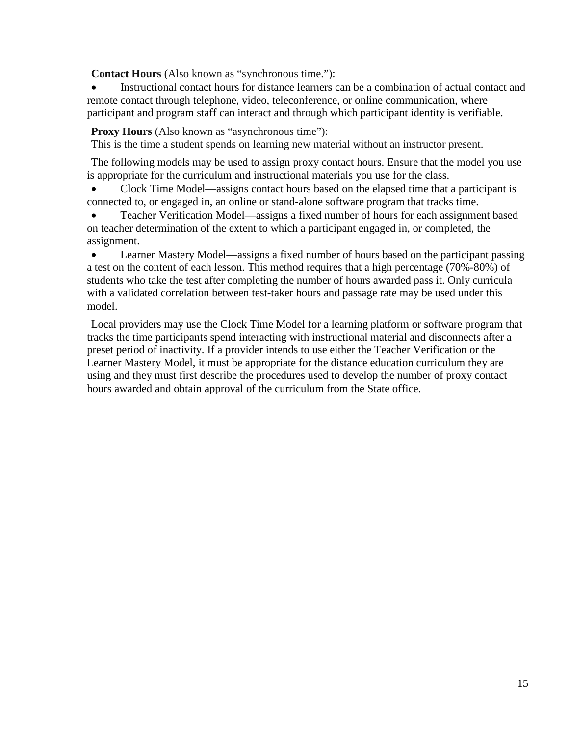**Contact Hours** (Also known as "synchronous time."):

Instructional contact hours for distance learners can be a combination of actual contact and remote contact through telephone, video, teleconference, or online communication, where participant and program staff can interact and through which participant identity is verifiable.

**Proxy Hours** (Also known as "asynchronous time"):

This is the time a student spends on learning new material without an instructor present.

The following models may be used to assign proxy contact hours. Ensure that the model you use is appropriate for the curriculum and instructional materials you use for the class.

• Clock Time Model—assigns contact hours based on the elapsed time that a participant is connected to, or engaged in, an online or stand-alone software program that tracks time.

• Teacher Verification Model—assigns a fixed number of hours for each assignment based on teacher determination of the extent to which a participant engaged in, or completed, the assignment.

• Learner Mastery Model—assigns a fixed number of hours based on the participant passing a test on the content of each lesson. This method requires that a high percentage (70%-80%) of students who take the test after completing the number of hours awarded pass it. Only curricula with a validated correlation between test-taker hours and passage rate may be used under this model.

Local providers may use the Clock Time Model for a learning platform or software program that tracks the time participants spend interacting with instructional material and disconnects after a preset period of inactivity. If a provider intends to use either the Teacher Verification or the Learner Mastery Model, it must be appropriate for the distance education curriculum they are using and they must first describe the procedures used to develop the number of proxy contact hours awarded and obtain approval of the curriculum from the State office.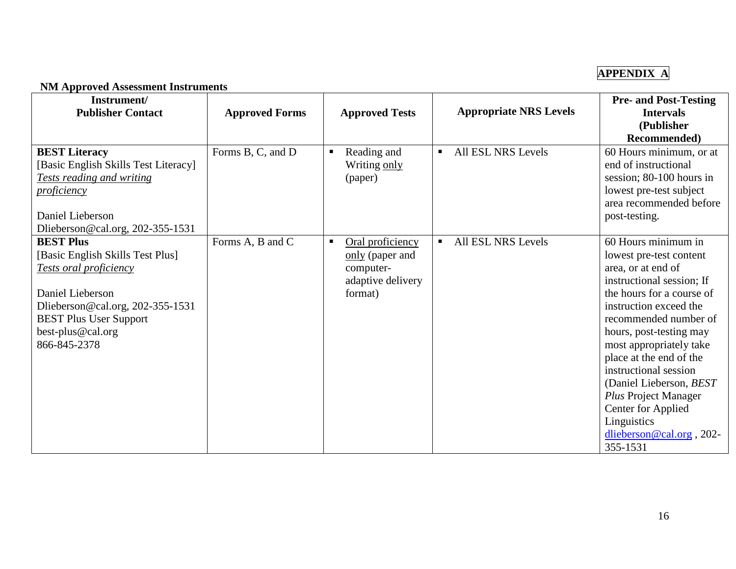# **APPENDIX A**

### **NM Approved Assessment Instruments**

<span id="page-15-0"></span>

| Instrument/<br><b>Publisher Contact</b>                                                                                                                                                                             | <b>Approved Forms</b> | <b>Approved Tests</b>                                                                              | <b>Appropriate NRS Levels</b>        | <b>Pre- and Post-Testing</b><br><b>Intervals</b><br>(Publisher<br><b>Recommended</b> )                                                                                                                                                                                                                                                                                                                                      |
|---------------------------------------------------------------------------------------------------------------------------------------------------------------------------------------------------------------------|-----------------------|----------------------------------------------------------------------------------------------------|--------------------------------------|-----------------------------------------------------------------------------------------------------------------------------------------------------------------------------------------------------------------------------------------------------------------------------------------------------------------------------------------------------------------------------------------------------------------------------|
| <b>BEST Literacy</b><br>[Basic English Skills Test Literacy]<br><b>Tests reading and writing</b><br><u>proficiency</u><br>Daniel Lieberson<br>Dlieberson@cal.org, 202-355-1531                                      | Forms B, C, and D     | Reading and<br>$\blacksquare$<br>Writing only<br>(paper)                                           | All ESL NRS Levels                   | 60 Hours minimum, or at<br>end of instructional<br>session; 80-100 hours in<br>lowest pre-test subject<br>area recommended before<br>post-testing.                                                                                                                                                                                                                                                                          |
| <b>BEST Plus</b><br>[Basic English Skills Test Plus]<br><b>Tests oral proficiency</b><br>Daniel Lieberson<br>Dlieberson@cal.org, 202-355-1531<br><b>BEST Plus User Support</b><br>best-plus@cal.org<br>866-845-2378 | Forms A, B and C      | Oral proficiency<br>$\blacksquare$<br>only (paper and<br>computer-<br>adaptive delivery<br>format) | All ESL NRS Levels<br>$\blacksquare$ | 60 Hours minimum in<br>lowest pre-test content<br>area, or at end of<br>instructional session; If<br>the hours for a course of<br>instruction exceed the<br>recommended number of<br>hours, post-testing may<br>most appropriately take<br>place at the end of the<br>instructional session<br>(Daniel Lieberson, BEST<br>Plus Project Manager<br>Center for Applied<br>Linguistics<br>dlieberson@cal.org, 202-<br>355-1531 |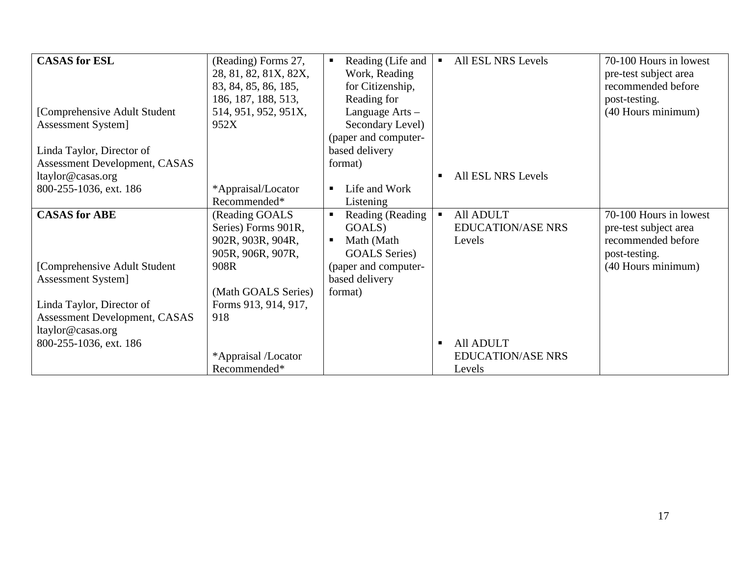| <b>CASAS</b> for ESL          | (Reading) Forms 27,   | Reading (Life and<br>$\blacksquare$ | All ESL NRS Levels          | 70-100 Hours in lowest |
|-------------------------------|-----------------------|-------------------------------------|-----------------------------|------------------------|
|                               | 28, 81, 82, 81X, 82X, | Work, Reading                       |                             | pre-test subject area  |
|                               | 83, 84, 85, 86, 185,  | for Citizenship,                    |                             | recommended before     |
|                               | 186, 187, 188, 513,   | Reading for                         |                             | post-testing.          |
| [Comprehensive Adult Student] | 514, 951, 952, 951X,  | Language Arts -                     |                             | (40 Hours minimum)     |
| Assessment System]            | 952X                  | Secondary Level)                    |                             |                        |
|                               |                       | (paper and computer-                |                             |                        |
| Linda Taylor, Director of     |                       | based delivery                      |                             |                        |
| Assessment Development, CASAS |                       | format)                             |                             |                        |
| ltaylor@casas.org             |                       |                                     | All ESL NRS Levels<br>п     |                        |
| 800-255-1036, ext. 186        | *Appraisal/Locator    | Life and Work<br>$\blacksquare$     |                             |                        |
|                               | Recommended*          | Listening                           |                             |                        |
| <b>CASAS</b> for ABE          | (Reading GOALS        | Reading (Reading<br>$\blacksquare$  | All ADULT<br>$\blacksquare$ | 70-100 Hours in lowest |
|                               | Series) Forms 901R,   | GOALS)                              | <b>EDUCATION/ASE NRS</b>    | pre-test subject area  |
|                               | 902R, 903R, 904R,     | Math (Math<br>$\blacksquare$        | Levels                      | recommended before     |
|                               | 905R, 906R, 907R,     | <b>GOALS</b> Series)                |                             | post-testing.          |
| [Comprehensive Adult Student  | 908R                  | (paper and computer-                |                             | (40 Hours minimum)     |
| Assessment System]            |                       | based delivery                      |                             |                        |
|                               | (Math GOALS Series)   | format)                             |                             |                        |
| Linda Taylor, Director of     | Forms 913, 914, 917,  |                                     |                             |                        |
| Assessment Development, CASAS | 918                   |                                     |                             |                        |
| ltaylor@casas.org             |                       |                                     |                             |                        |
| 800-255-1036, ext. 186        |                       |                                     | All ADULT<br>$\blacksquare$ |                        |
|                               | *Appraisal /Locator   |                                     | <b>EDUCATION/ASE NRS</b>    |                        |
|                               | Recommended*          |                                     | Levels                      |                        |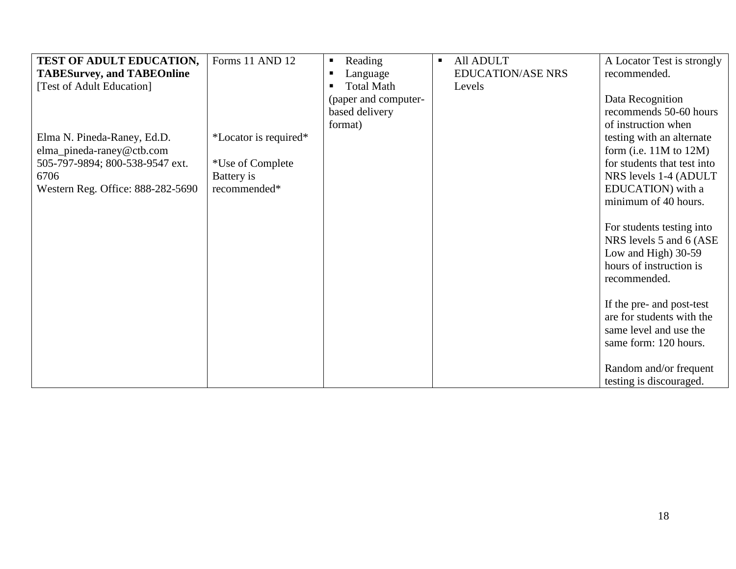| TEST OF ADULT EDUCATION,          | Forms 11 AND 12       | Reading<br>$\blacksquare$           | All ADULT<br>Π.          | A Locator Test is strongly  |
|-----------------------------------|-----------------------|-------------------------------------|--------------------------|-----------------------------|
| <b>TABESurvey, and TABEOnline</b> |                       | Language<br>п                       | <b>EDUCATION/ASE NRS</b> | recommended.                |
| [Test of Adult Education]         |                       | <b>Total Math</b><br>$\blacksquare$ | Levels                   |                             |
|                                   |                       | (paper and computer-                |                          | Data Recognition            |
|                                   |                       | based delivery                      |                          | recommends 50-60 hours      |
|                                   |                       | format)                             |                          | of instruction when         |
| Elma N. Pineda-Raney, Ed.D.       | *Locator is required* |                                     |                          | testing with an alternate   |
| elma_pineda-raney@ctb.com         |                       |                                     |                          | form (i.e. $11M$ to $12M$ ) |
| 505-797-9894; 800-538-9547 ext.   | *Use of Complete      |                                     |                          | for students that test into |
| 6706                              | Battery is            |                                     |                          | NRS levels 1-4 (ADULT)      |
| Western Reg. Office: 888-282-5690 | recommended*          |                                     |                          | EDUCATION) with a           |
|                                   |                       |                                     |                          | minimum of 40 hours.        |
|                                   |                       |                                     |                          |                             |
|                                   |                       |                                     |                          | For students testing into   |
|                                   |                       |                                     |                          | NRS levels 5 and 6 (ASE)    |
|                                   |                       |                                     |                          | Low and High) 30-59         |
|                                   |                       |                                     |                          | hours of instruction is     |
|                                   |                       |                                     |                          | recommended.                |
|                                   |                       |                                     |                          |                             |
|                                   |                       |                                     |                          | If the pre- and post-test   |
|                                   |                       |                                     |                          | are for students with the   |
|                                   |                       |                                     |                          | same level and use the      |
|                                   |                       |                                     |                          | same form: 120 hours.       |
|                                   |                       |                                     |                          |                             |
|                                   |                       |                                     |                          | Random and/or frequent      |
|                                   |                       |                                     |                          | testing is discouraged.     |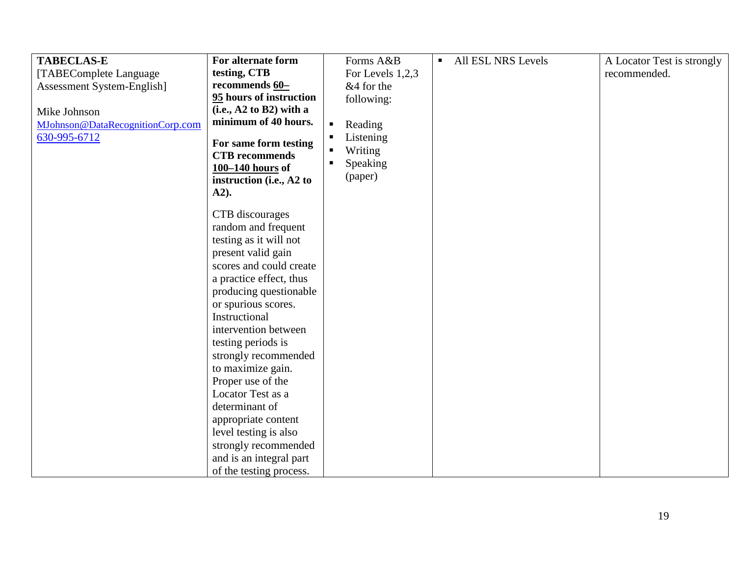| <b>TABECLAS-E</b>                | For alternate form        |                | Forms A&B        | $\blacksquare$ | All ESL NRS Levels | A Locator Test is strongly |
|----------------------------------|---------------------------|----------------|------------------|----------------|--------------------|----------------------------|
| [TABEComplete Language           | testing, CTB              |                | For Levels 1,2,3 |                |                    | recommended.               |
| Assessment System-English]       | recommends 60-            |                | &4 for the       |                |                    |                            |
|                                  | 95 hours of instruction   |                | following:       |                |                    |                            |
| Mike Johnson                     | $(i.e., A2 to B2)$ with a |                |                  |                |                    |                            |
| MJohnson@DataRecognitionCorp.com | minimum of 40 hours.      | $\blacksquare$ | Reading          |                |                    |                            |
| 630-995-6712                     | For same form testing     | $\blacksquare$ | Listening        |                |                    |                            |
|                                  | <b>CTB</b> recommends     | $\blacksquare$ | Writing          |                |                    |                            |
|                                  | 100-140 hours of          | $\blacksquare$ | Speaking         |                |                    |                            |
|                                  | instruction (i.e., A2 to  |                | (paper)          |                |                    |                            |
|                                  | $A2$ ).                   |                |                  |                |                    |                            |
|                                  |                           |                |                  |                |                    |                            |
|                                  | CTB discourages           |                |                  |                |                    |                            |
|                                  | random and frequent       |                |                  |                |                    |                            |
|                                  | testing as it will not    |                |                  |                |                    |                            |
|                                  | present valid gain        |                |                  |                |                    |                            |
|                                  | scores and could create   |                |                  |                |                    |                            |
|                                  | a practice effect, thus   |                |                  |                |                    |                            |
|                                  | producing questionable    |                |                  |                |                    |                            |
|                                  | or spurious scores.       |                |                  |                |                    |                            |
|                                  | Instructional             |                |                  |                |                    |                            |
|                                  | intervention between      |                |                  |                |                    |                            |
|                                  | testing periods is        |                |                  |                |                    |                            |
|                                  | strongly recommended      |                |                  |                |                    |                            |
|                                  | to maximize gain.         |                |                  |                |                    |                            |
|                                  | Proper use of the         |                |                  |                |                    |                            |
|                                  | Locator Test as a         |                |                  |                |                    |                            |
|                                  | determinant of            |                |                  |                |                    |                            |
|                                  | appropriate content       |                |                  |                |                    |                            |
|                                  | level testing is also     |                |                  |                |                    |                            |
|                                  | strongly recommended      |                |                  |                |                    |                            |
|                                  | and is an integral part   |                |                  |                |                    |                            |
|                                  | of the testing process.   |                |                  |                |                    |                            |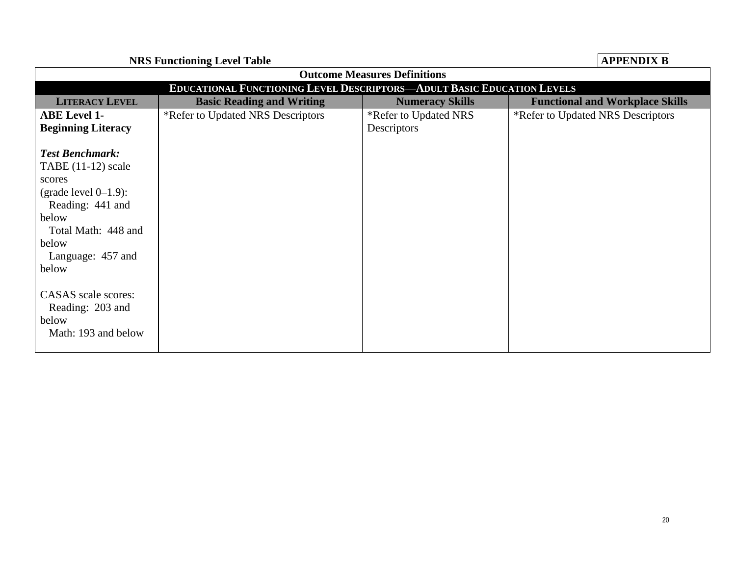**NRS Functioning Level Table APPENDIX B**

<span id="page-19-0"></span>

| <b>Outcome Measures Definitions</b>                                                                                                                                            |                                   |                        |                                        |  |  |  |  |
|--------------------------------------------------------------------------------------------------------------------------------------------------------------------------------|-----------------------------------|------------------------|----------------------------------------|--|--|--|--|
| <b>EDUCATIONAL FUNCTIONING LEVEL DESCRIPTORS-ADULT BASIC EDUCATION LEVELS</b>                                                                                                  |                                   |                        |                                        |  |  |  |  |
| <b>LITERACY LEVEL</b>                                                                                                                                                          | <b>Basic Reading and Writing</b>  | <b>Numeracy Skills</b> | <b>Functional and Workplace Skills</b> |  |  |  |  |
| <b>ABE Level 1-</b>                                                                                                                                                            | *Refer to Updated NRS Descriptors | *Refer to Updated NRS  | *Refer to Updated NRS Descriptors      |  |  |  |  |
| <b>Beginning Literacy</b>                                                                                                                                                      |                                   | Descriptors            |                                        |  |  |  |  |
| <b>Test Benchmark:</b><br>TABE $(11-12)$ scale<br>scores<br>(grade level $0-1.9$ ):<br>Reading: 441 and<br>below<br>Total Math: 448 and<br>below<br>Language: 457 and<br>below |                                   |                        |                                        |  |  |  |  |
| CASAS scale scores:<br>Reading: 203 and<br>below<br>Math: 193 and below                                                                                                        |                                   |                        |                                        |  |  |  |  |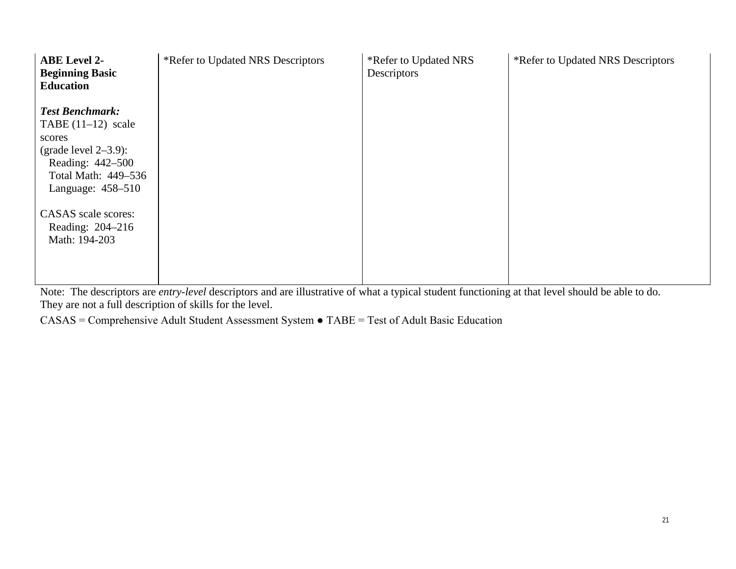| <b>ABE Level 2-</b><br><b>Beginning Basic</b><br><b>Education</b>                                                                                                                                                 | *Refer to Updated NRS Descriptors | *Refer to Updated NRS<br>Descriptors | *Refer to Updated NRS Descriptors |
|-------------------------------------------------------------------------------------------------------------------------------------------------------------------------------------------------------------------|-----------------------------------|--------------------------------------|-----------------------------------|
| <b>Test Benchmark:</b><br>TABE $(11-12)$ scale<br>scores<br>(grade level $2-3.9$ ):<br>Reading: 442-500<br>Total Math: 449-536<br>Language: $458-510$<br>CASAS scale scores:<br>Reading: 204-216<br>Math: 194-203 |                                   |                                      |                                   |

Note: The descriptors are *entry-level* descriptors and are illustrative of what a typical student functioning at that level should be able to do. They are not a full description of skills for the level.

CASAS = Comprehensive Adult Student Assessment System ● TABE = Test of Adult Basic Education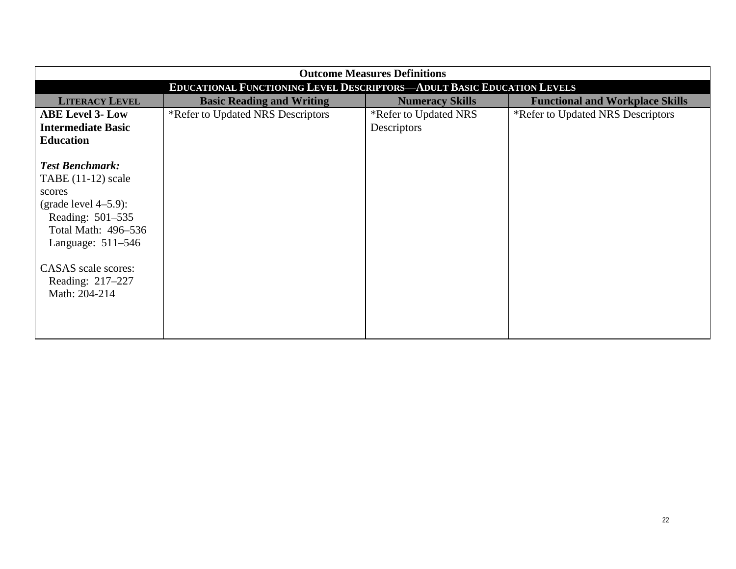| <b>Outcome Measures Definitions</b>                                                                                                                                                                               |                                   |                        |                                        |  |  |  |  |
|-------------------------------------------------------------------------------------------------------------------------------------------------------------------------------------------------------------------|-----------------------------------|------------------------|----------------------------------------|--|--|--|--|
| EDUCATIONAL FUNCTIONING LEVEL DESCRIPTORS-ADULT BASIC EDUCATION LEVELS                                                                                                                                            |                                   |                        |                                        |  |  |  |  |
| <b>LITERACY LEVEL</b>                                                                                                                                                                                             | <b>Basic Reading and Writing</b>  | <b>Numeracy Skills</b> | <b>Functional and Workplace Skills</b> |  |  |  |  |
| <b>ABE Level 3- Low</b>                                                                                                                                                                                           | *Refer to Updated NRS Descriptors | *Refer to Updated NRS  | *Refer to Updated NRS Descriptors      |  |  |  |  |
| <b>Intermediate Basic</b>                                                                                                                                                                                         |                                   | Descriptors            |                                        |  |  |  |  |
| <b>Education</b>                                                                                                                                                                                                  |                                   |                        |                                        |  |  |  |  |
| <b>Test Benchmark:</b><br>TABE $(11-12)$ scale<br>scores<br>(grade level $4-5.9$ ):<br>Reading: 501-535<br>Total Math: 496–536<br>Language: $511-546$<br>CASAS scale scores:<br>Reading: 217–227<br>Math: 204-214 |                                   |                        |                                        |  |  |  |  |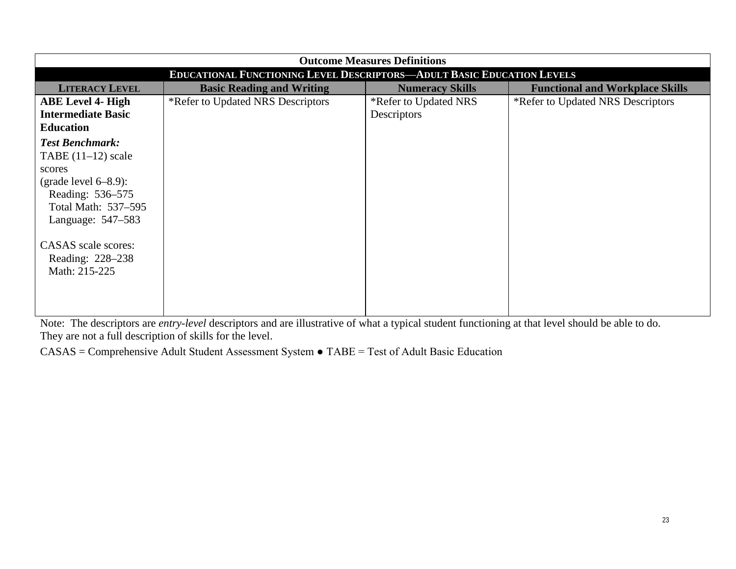| <b>Outcome Measures Definitions</b>                                                                                                                                                                             |                                   |                        |                                        |  |  |  |
|-----------------------------------------------------------------------------------------------------------------------------------------------------------------------------------------------------------------|-----------------------------------|------------------------|----------------------------------------|--|--|--|
| <b>EDUCATIONAL FUNCTIONING LEVEL DESCRIPTORS-ADULT BASIC EDUCATION LEVELS</b>                                                                                                                                   |                                   |                        |                                        |  |  |  |
| <b>LITERACY LEVEL</b>                                                                                                                                                                                           | <b>Basic Reading and Writing</b>  | <b>Numeracy Skills</b> | <b>Functional and Workplace Skills</b> |  |  |  |
| <b>ABE Level 4- High</b>                                                                                                                                                                                        | *Refer to Updated NRS Descriptors | *Refer to Updated NRS  | *Refer to Updated NRS Descriptors      |  |  |  |
| <b>Intermediate Basic</b>                                                                                                                                                                                       |                                   | Descriptors            |                                        |  |  |  |
| <b>Education</b>                                                                                                                                                                                                |                                   |                        |                                        |  |  |  |
| <b>Test Benchmark:</b><br>TABE $(11-12)$ scale<br>scores<br>(grade level $6-8.9$ ):<br>Reading: 536-575<br>Total Math: 537–595<br>Language: 547–583<br>CASAS scale scores:<br>Reading: 228–238<br>Math: 215-225 |                                   |                        |                                        |  |  |  |

Note: The descriptors are *entry-level* descriptors and are illustrative of what a typical student functioning at that level should be able to do. They are not a full description of skills for the level.

CASAS = Comprehensive Adult Student Assessment System ● TABE = Test of Adult Basic Education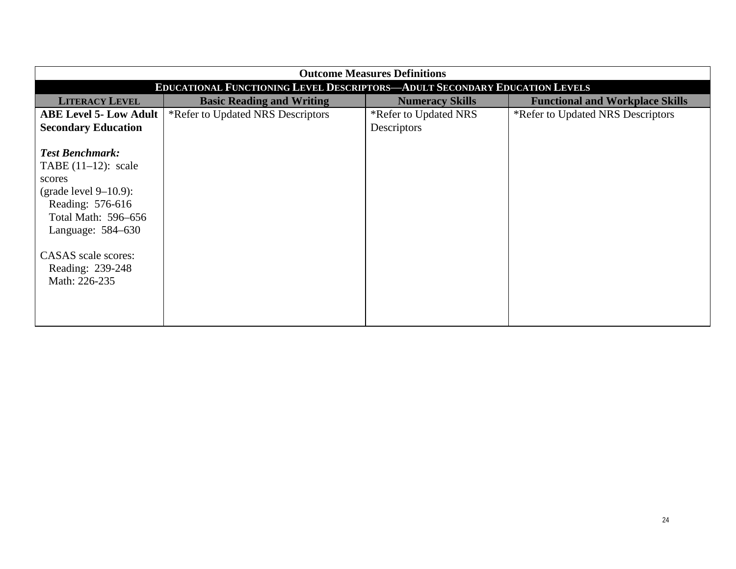| <b>Outcome Measures Definitions</b>                                        |                                   |                        |                                        |  |  |  |
|----------------------------------------------------------------------------|-----------------------------------|------------------------|----------------------------------------|--|--|--|
| EDUCATIONAL FUNCTIONING LEVEL DESCRIPTORS-ADULT SECONDARY EDUCATION LEVELS |                                   |                        |                                        |  |  |  |
| <b>LITERACY LEVEL</b>                                                      | <b>Basic Reading and Writing</b>  | <b>Numeracy Skills</b> | <b>Functional and Workplace Skills</b> |  |  |  |
| <b>ABE Level 5- Low Adult</b>                                              | *Refer to Updated NRS Descriptors | *Refer to Updated NRS  | *Refer to Updated NRS Descriptors      |  |  |  |
| <b>Secondary Education</b>                                                 |                                   | Descriptors            |                                        |  |  |  |
|                                                                            |                                   |                        |                                        |  |  |  |
| <b>Test Benchmark:</b>                                                     |                                   |                        |                                        |  |  |  |
| TABE $(11-12)$ : scale                                                     |                                   |                        |                                        |  |  |  |
| scores                                                                     |                                   |                        |                                        |  |  |  |
| (grade level $9-10.9$ ):                                                   |                                   |                        |                                        |  |  |  |
| Reading: 576-616                                                           |                                   |                        |                                        |  |  |  |
| Total Math: 596-656                                                        |                                   |                        |                                        |  |  |  |
| Language: 584–630                                                          |                                   |                        |                                        |  |  |  |
|                                                                            |                                   |                        |                                        |  |  |  |
| CASAS scale scores:                                                        |                                   |                        |                                        |  |  |  |
| Reading: 239-248                                                           |                                   |                        |                                        |  |  |  |
| Math: 226-235                                                              |                                   |                        |                                        |  |  |  |
|                                                                            |                                   |                        |                                        |  |  |  |
|                                                                            |                                   |                        |                                        |  |  |  |
|                                                                            |                                   |                        |                                        |  |  |  |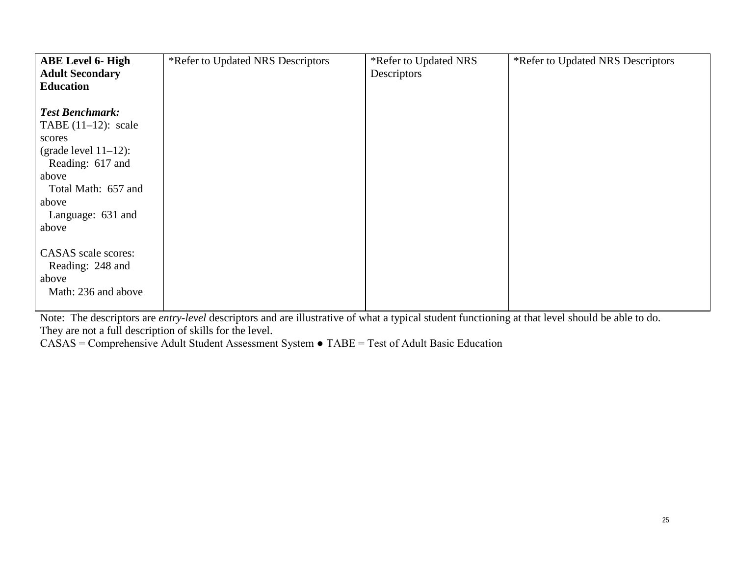| <b>ABE Level 6- High</b><br><b>Adult Secondary</b><br><b>Education</b>                                                                                                           | *Refer to Updated NRS Descriptors | *Refer to Updated NRS<br>Descriptors | *Refer to Updated NRS Descriptors |
|----------------------------------------------------------------------------------------------------------------------------------------------------------------------------------|-----------------------------------|--------------------------------------|-----------------------------------|
| <b>Test Benchmark:</b><br>TABE $(11-12)$ : scale<br>scores<br>(grade level $11-12$ ):<br>Reading: 617 and<br>above<br>Total Math: 657 and<br>above<br>Language: 631 and<br>above |                                   |                                      |                                   |
| CASAS scale scores:<br>Reading: 248 and<br>above<br>Math: 236 and above                                                                                                          |                                   |                                      |                                   |

Note: The descriptors are *entry-level* descriptors and are illustrative of what a typical student functioning at that level should be able to do. They are not a full description of skills for the level.

CASAS = Comprehensive Adult Student Assessment System ● TABE = Test of Adult Basic Education